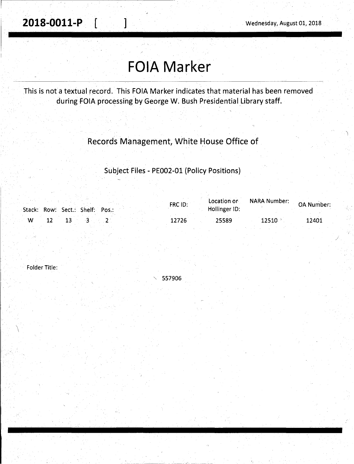## **FOIA Marker**

This is not a textual record. This FOIA Marker indicates that material has been removed during FOIA processing by George W. Bush Presidential Library staff.

## Records Management, White House Office of

Subject Files - PE002-01 (Policy Positions)

|     | Stack: Row: Sect.: Shelf: Pos.: | FRC ID: | Location or<br>Hollinger ID: | <b>NARA Number:</b> | OA Number: |
|-----|---------------------------------|---------|------------------------------|---------------------|------------|
| – W | $13 - 3$                        | 12726   | 25589                        | 12510               | 12401      |

Folder Title:

 $\backslash$ \ " 557906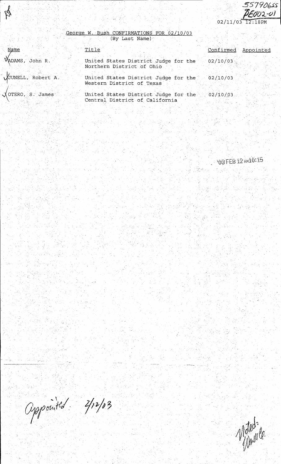55790655 BEOU2-UI  $02/11/03$ 12.18PM

## George  $02/10/03$ W <u>RMATIONS</u> FOR Name)  $(By)$ Last

P

| Name                      | Title                                                             | Confirmed Appointed |
|---------------------------|-------------------------------------------------------------------|---------------------|
| WADAMS, John R.           | United States District Judge for the                              | 02/10/03            |
|                           | Northern District of Ohio                                         |                     |
| VJUNELL, Robert A.        | United States District Judge for the<br>Western District of Texas | 02/10/03            |
| $\lambda$ OTERO, S. James | United States District Judge for the                              | 02/10/03            |
|                           | Central District of California                                    |                     |
|                           |                                                                   |                     |

OBFEB12 ANIO:15

Oppointed 2/12/03

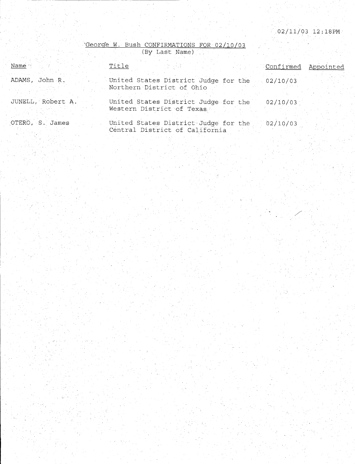/

'George w. Bush CONFIRMATIONS FOR 02/10/03

|                   | (By Last Name)                                                                     |
|-------------------|------------------------------------------------------------------------------------|
| Name              | Title<br>Confirmed<br>Appointed                                                    |
| ADAMS, John R.    | United States District Judge for the<br>02/10/03<br>Northern District of Ohio      |
| JUNELL, Robert A. | United States District Judge for the<br>02/10/03<br>Western District of Texas      |
| OTERO, S. James   | United States District Judge for the<br>02/10/03<br>Central District of California |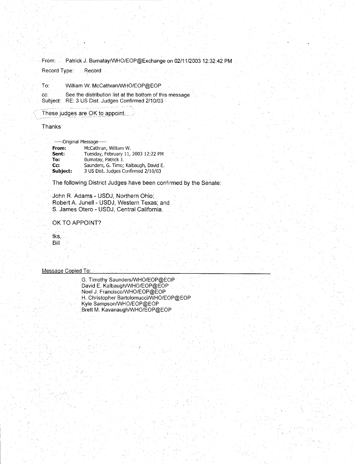From: Patrick J. Bumatay/WHO/EOP@Exchange on 02/11/2003 12:32:42 PM

Record Type: Record

To: William W. McCathran/WHO/EOP@EOP

cc: See the distribution list at the bottom of this message Subject: RE: 3 US Dist. Judges Confirmed 2/10/03

These judges are OK to appoint.

Thanks

-----Original Message-----

| From:    | McCathran, William W.                 |
|----------|---------------------------------------|
| Sent:    | Tuesday, February 11, 2003 12:22 PM   |
| To:      | Bumatay, Patrick J.                   |
| $Cc$ :   | Saunders, G. Timo; Kalbaugh, David E. |
| Subject: | 3 US Dist, Judges Confirmed 2/10/03   |
|          |                                       |

The following District Judges have been confirmed by the Senate:

John R. Adams - USDJ, Northern Ohio; Robert A. Junell - USDJ, Western Texas; and S. James Otero - USDJ, Central California.

OK TO APPOINT?

tks, Bill

Message Copied To:

. G. Timothy Saunders/WHO/EOP@EOP David E. Kalbaugh/WHO/EOP@EOP Noel J. Francisco/WHO/EOP@EOP H. Christopher Bartolomucci/WHO/EOP@EOP Kyle Sampson/WHO/EOP@EOP Brett M. Kavanaugh/WHO/EOP@EOP